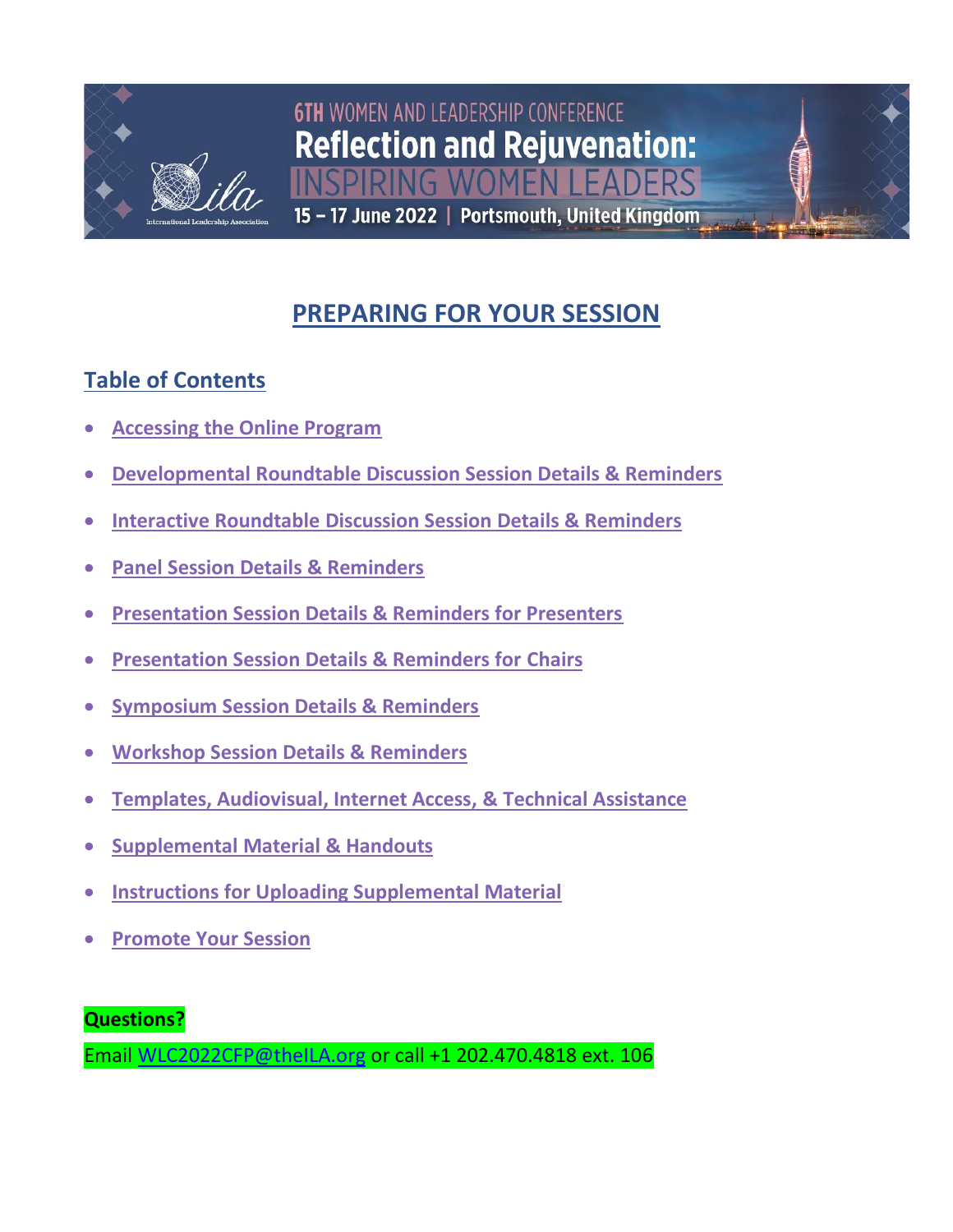

# **6TH WOMEN AND LEADERSHIP CONFERENCE Reflection and Rejuvenation:** NG WOMEN I FADERS

15 - 17 June 2022 | Portsmouth, United Kingdom

## **PREPARING FOR YOUR SESSION**

## <span id="page-0-0"></span>**Table of Contents**

- **[Accessing the Online Program](#page-1-0)**
- **[Developmental Roundtable Discussion Session Details & Reminders](#page-4-0)**
- **[Interactive Roundtable Discussion Session Details & Reminders](#page-5-0)**
- **[Panel Session Details & Reminders](#page-6-0)**
- **[Presentation Session Details & Reminders for Presenters](#page-7-0)**
- **[Presentation Session Details & Reminders for](#page-8-0) Chairs**
- **[Symposium Session Details & Reminders](#page-10-0)**
- **[Workshop Session Details & Reminders](#page-12-0)**
- **[Templates, Audiovisual, Internet Access, &](#page-13-0) Technical Assistance**
- **[Supplemental Material &](#page-15-0) Handouts**
- **Instructions for Uploading [Supplemental Material](#page-17-0)**
- **[Promote Your Session](#page-20-0)**

**Questions?** 

Email [WLC2022CFP@theILA.org](mailto:WLC2022CFP@theILA.org) or call +1 202.470.4818 ext. 106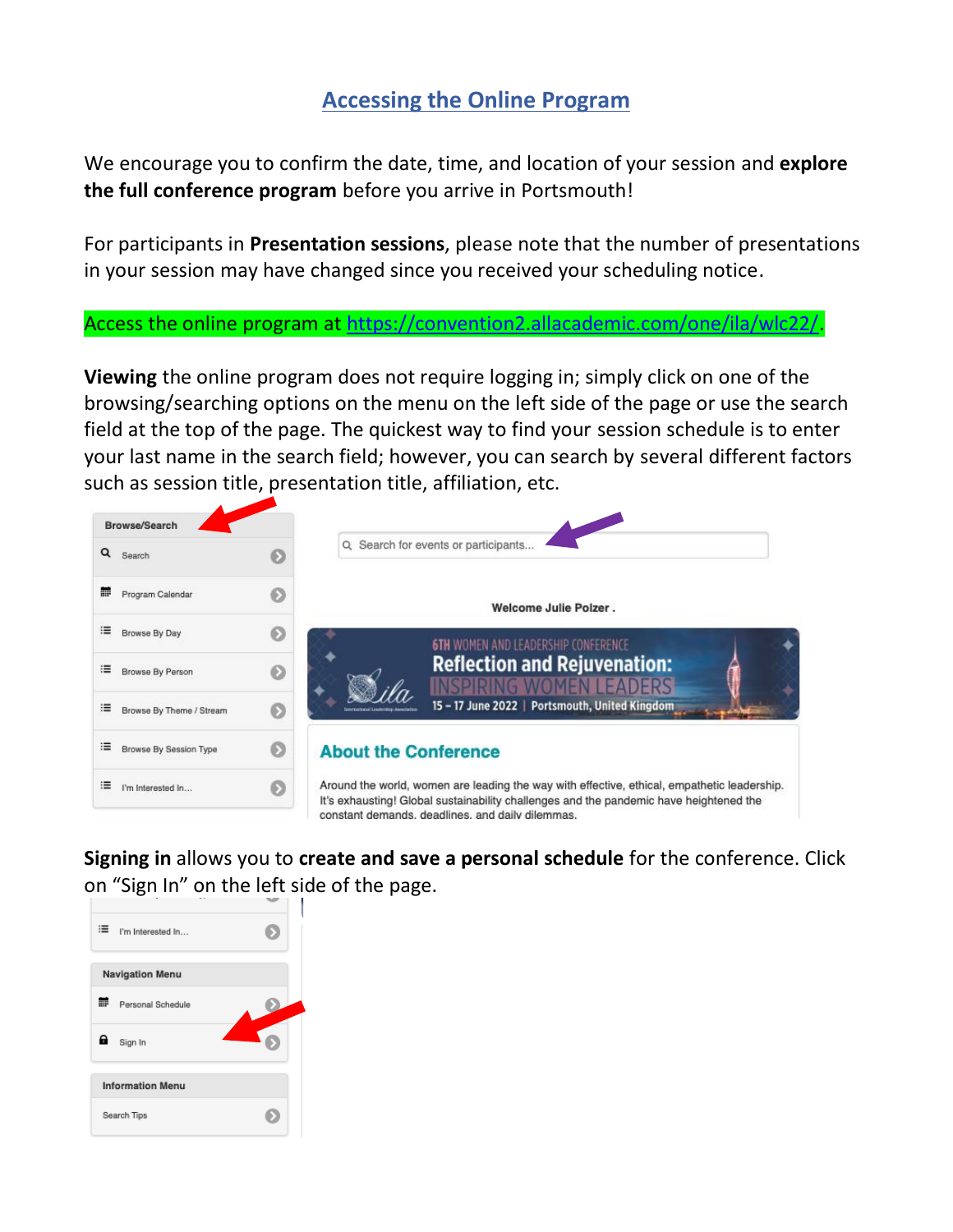### **Accessing the Online Program**

<span id="page-1-0"></span>We encourage you to confirm the date, time, and location of your session and **explore the full conference program** before you arrive in Portsmouth!

For participants in **Presentation sessions**, please note that the number of presentations in your session may have changed since you received your scheduling notice.

Access the online program at [https://convention2.allacademic.com/one/ila/wlc22/.](https://convention2.allacademic.com/one/ila/wlc22/)

**Viewing** the online program does not require logging in; simply click on one of the browsing/searching options on the menu on the left side of the page or use the search field at the top of the page. The quickest way to find your session schedule is to enter your last name in the search field; however, you can search by several different factors such as session title, presentation title, affiliation, etc.



**Signing in** allows you to **create and save a personal schedule** for the conference. Click on "Sign In" on the left side of the page.

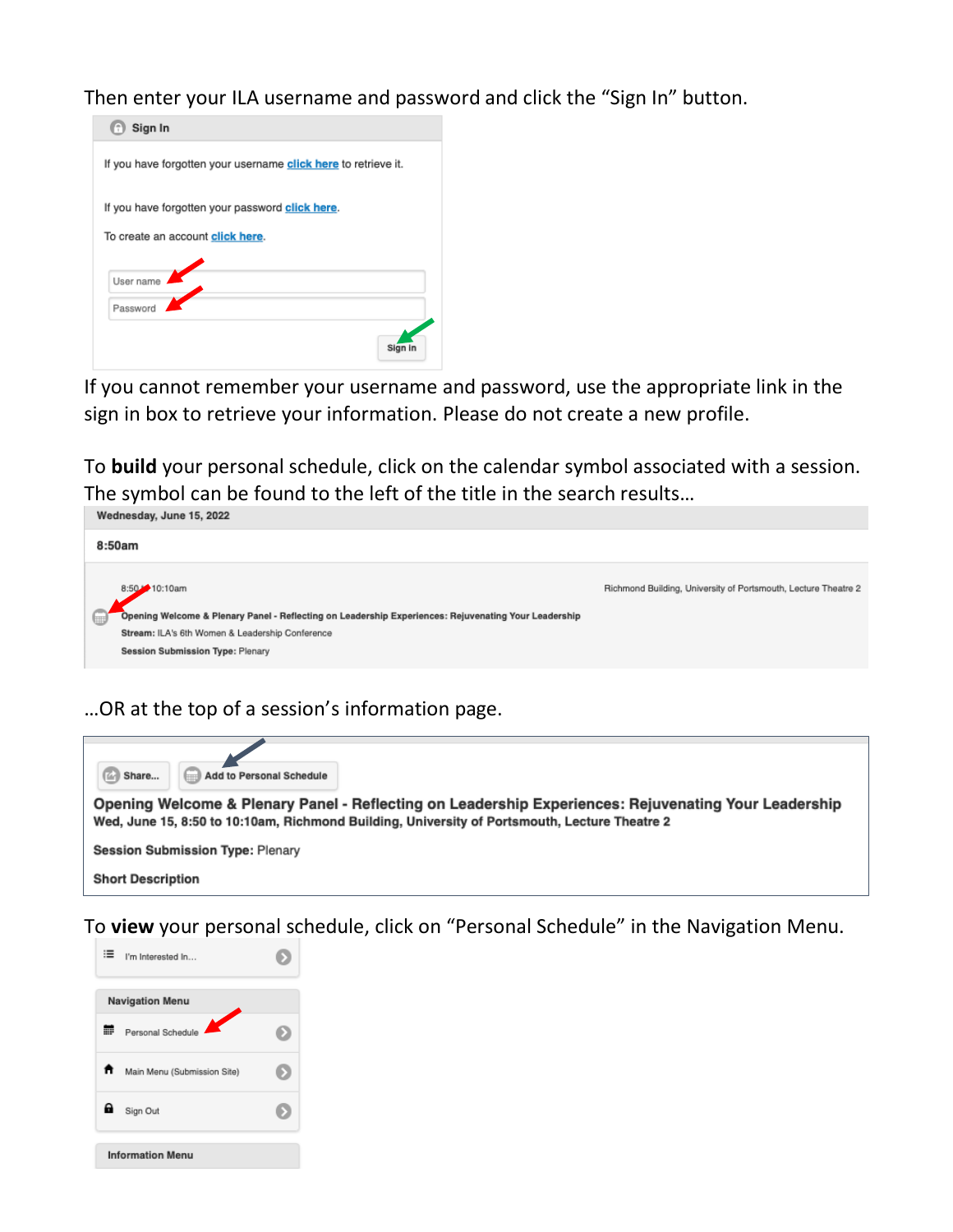Then enter your ILA username and password and click the "Sign In" button.



If you cannot remember your username and password, use the appropriate link in the sign in box to retrieve your information. Please do not create a new profile.

To **build** your personal schedule, click on the calendar symbol associated with a session. The symbol can be found to the left of the title in the search results…



…OR at the top of a session's information page.



To **view** your personal schedule, click on "Personal Schedule" in the Navigation Menu.

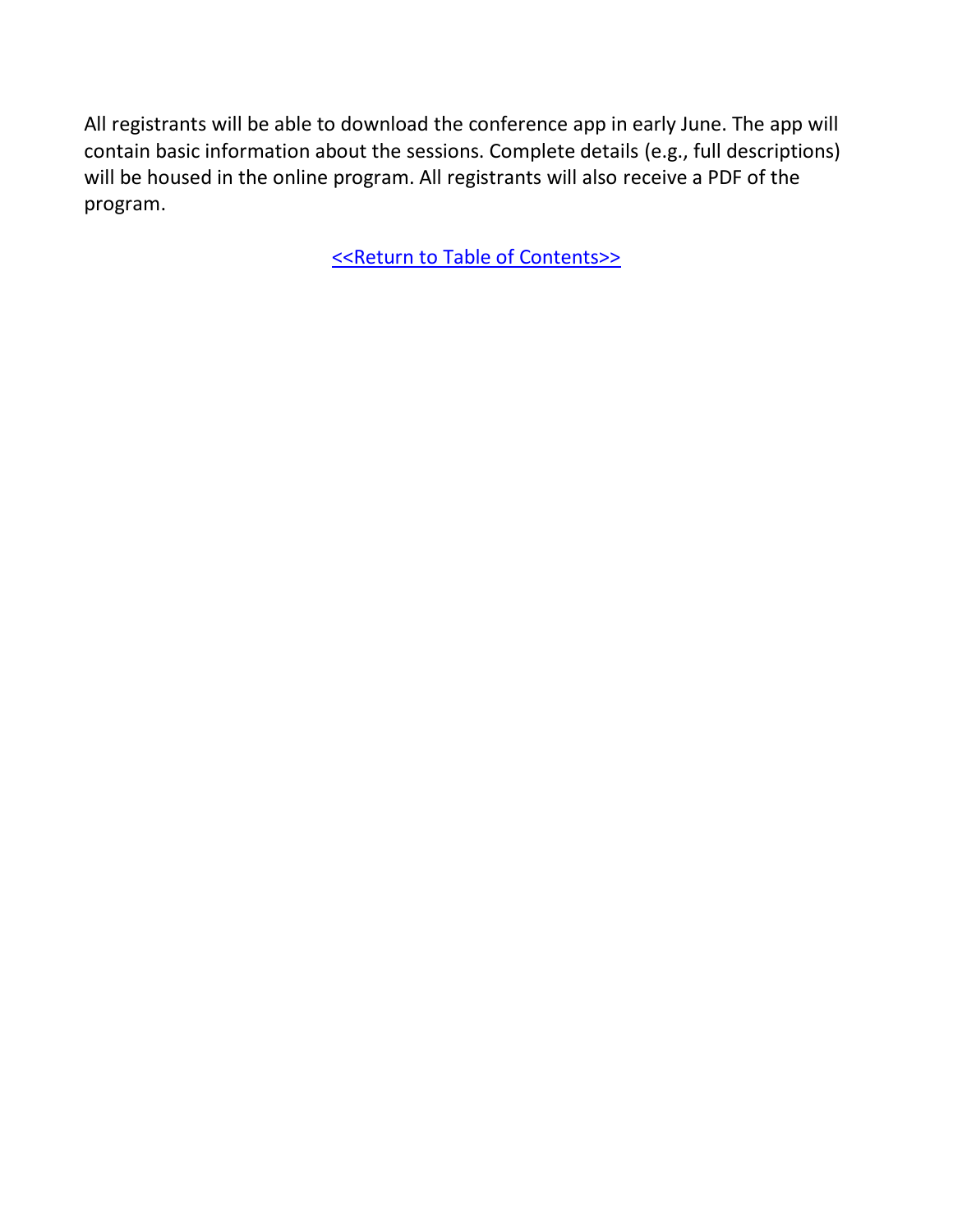All registrants will be able to download the conference app in early June. The app will contain basic information about the sessions. Complete details (e.g., full descriptions) will be housed in the online program. All registrants will also receive a PDF of the program.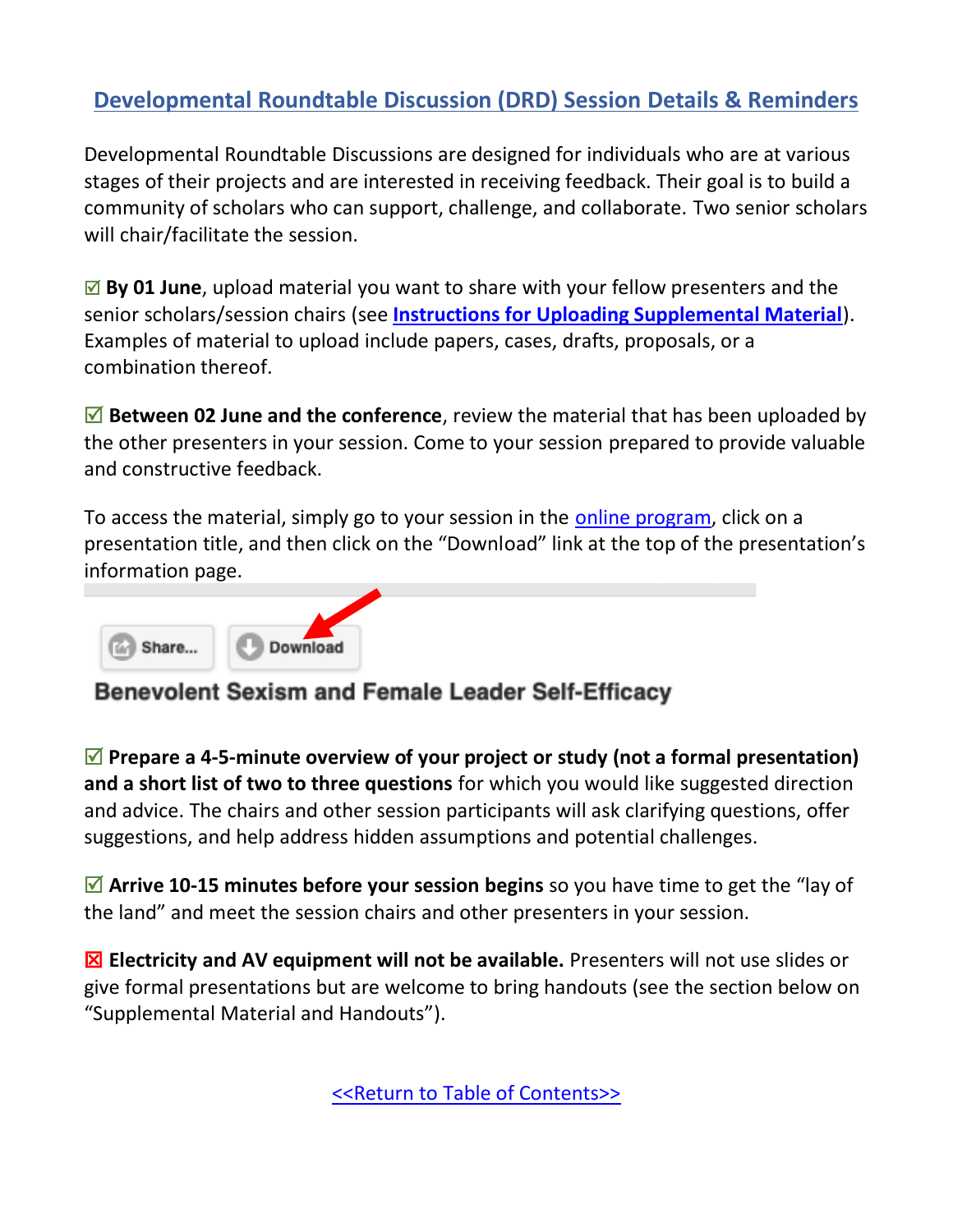### <span id="page-4-0"></span>**Developmental Roundtable Discussion (DRD) Session Details & Reminders**

Developmental Roundtable Discussions are designed for individuals who are at various stages of their projects and are interested in receiving feedback. Their goal is to build a community of scholars who can support, challenge, and collaborate. Two senior scholars will chair/facilitate the session.

■ **By 01 June**, upload material you want to share with your fellow presenters and the senior scholars/session chairs (see **[Instructions for Uploading Supplemental Material](#page-17-0)**). Examples of material to upload include papers, cases, drafts, proposals, or a combination thereof.

■ **Between 02 June and the conference**, review the material that has been uploaded by the other presenters in your session. Come to your session prepared to provide valuable and constructive feedback.

To access the material, simply go to your session in the [online program,](https://convention2.allacademic.com/one/ila/wlc22/) click on a presentation title, and then click on the "Download" link at the top of the presentation's information page.



### **Benevolent Sexism and Female Leader Self-Efficacy**

 **Prepare a 4-5-minute overview of your project or study (not a formal presentation) and a short list of two to three questions** for which you would like suggested direction and advice. The chairs and other session participants will ask clarifying questions, offer suggestions, and help address hidden assumptions and potential challenges.

■ Arrive 10-15 minutes before your session begins so you have time to get the "lay of the land" and meet the session chairs and other presenters in your session.

 **Electricity and AV equipment will not be available.** Presenters will not use slides or give formal presentations but are welcome to bring handouts (see the section below on "Supplemental Material and Handouts").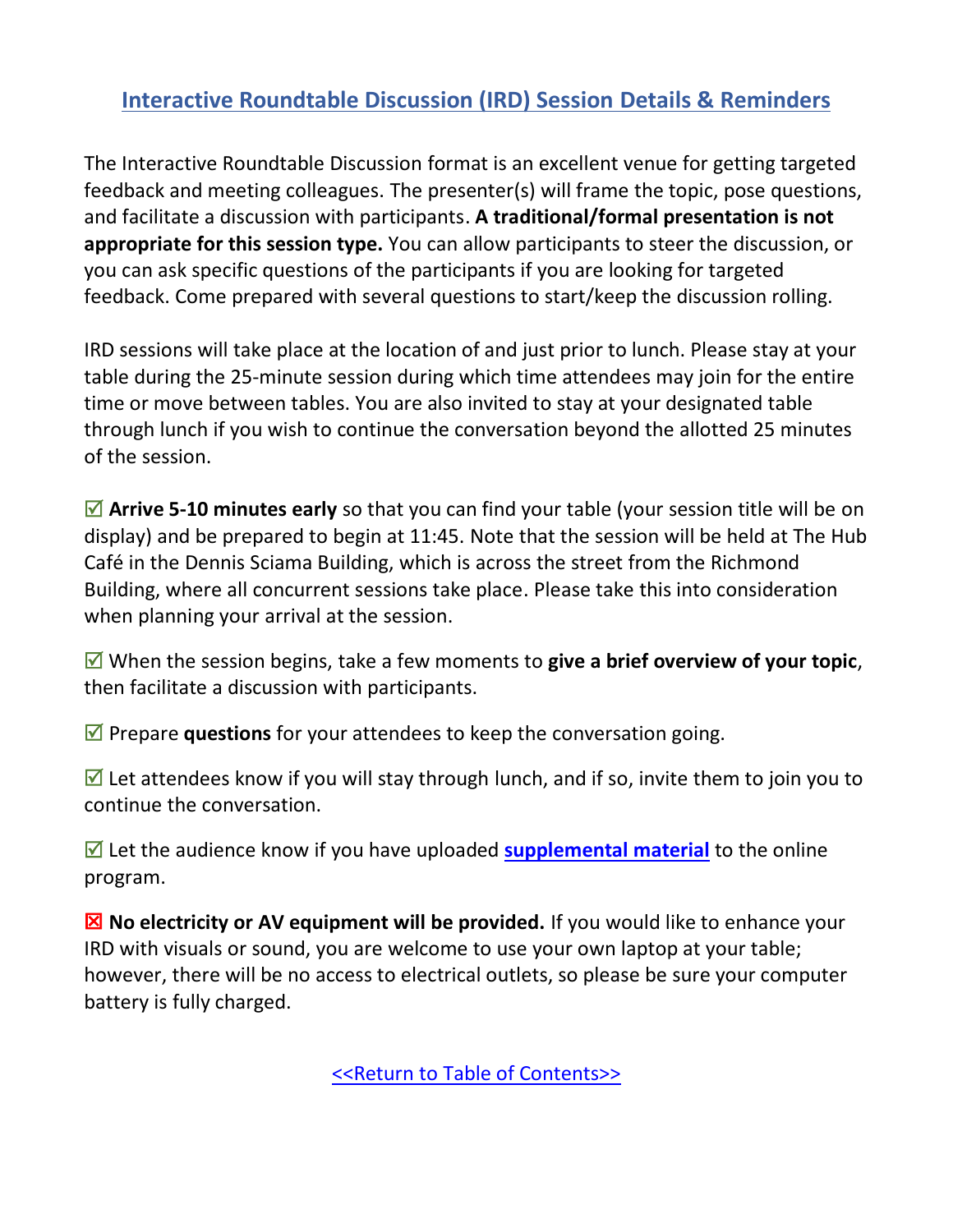### <span id="page-5-0"></span>**Interactive Roundtable Discussion (IRD) Session Details & Reminders**

The Interactive Roundtable Discussion format is an excellent venue for getting targeted feedback and meeting colleagues. The presenter(s) will frame the topic, pose questions, and facilitate a discussion with participants. **A traditional/formal presentation is not appropriate for this session type.** You can allow participants to steer the discussion, or you can ask specific questions of the participants if you are looking for targeted feedback. Come prepared with several questions to start/keep the discussion rolling.

IRD sessions will take place at the location of and just prior to lunch. Please stay at your table during the 25-minute session during which time attendees may join for the entire time or move between tables. You are also invited to stay at your designated table through lunch if you wish to continue the conversation beyond the allotted 25 minutes of the session.

■ Arrive 5-10 minutes early so that you can find your table (your session title will be on display) and be prepared to begin at 11:45. Note that the session will be held at The Hub Café in the Dennis Sciama Building, which is across the street from the Richmond Building, where all concurrent sessions take place. Please take this into consideration when planning your arrival at the session.

 When the session begins, take a few moments to **give a brief overview of your topic**, then facilitate a discussion with participants.

 $✓$  Prepare **questions** for your attendees to keep the conversation going.

 $\triangledown$  Let attendees know if you will stay through lunch, and if so, invite them to join you to continue the conversation.

■ Let the audience know if you have uploaded **[supplemental material](#page-15-0)** to the online program.

**X** No electricity or AV equipment will be provided. If you would like to enhance your IRD with visuals or sound, you are welcome to use your own laptop at your table; however, there will be no access to electrical outlets, so please be sure your computer battery is fully charged.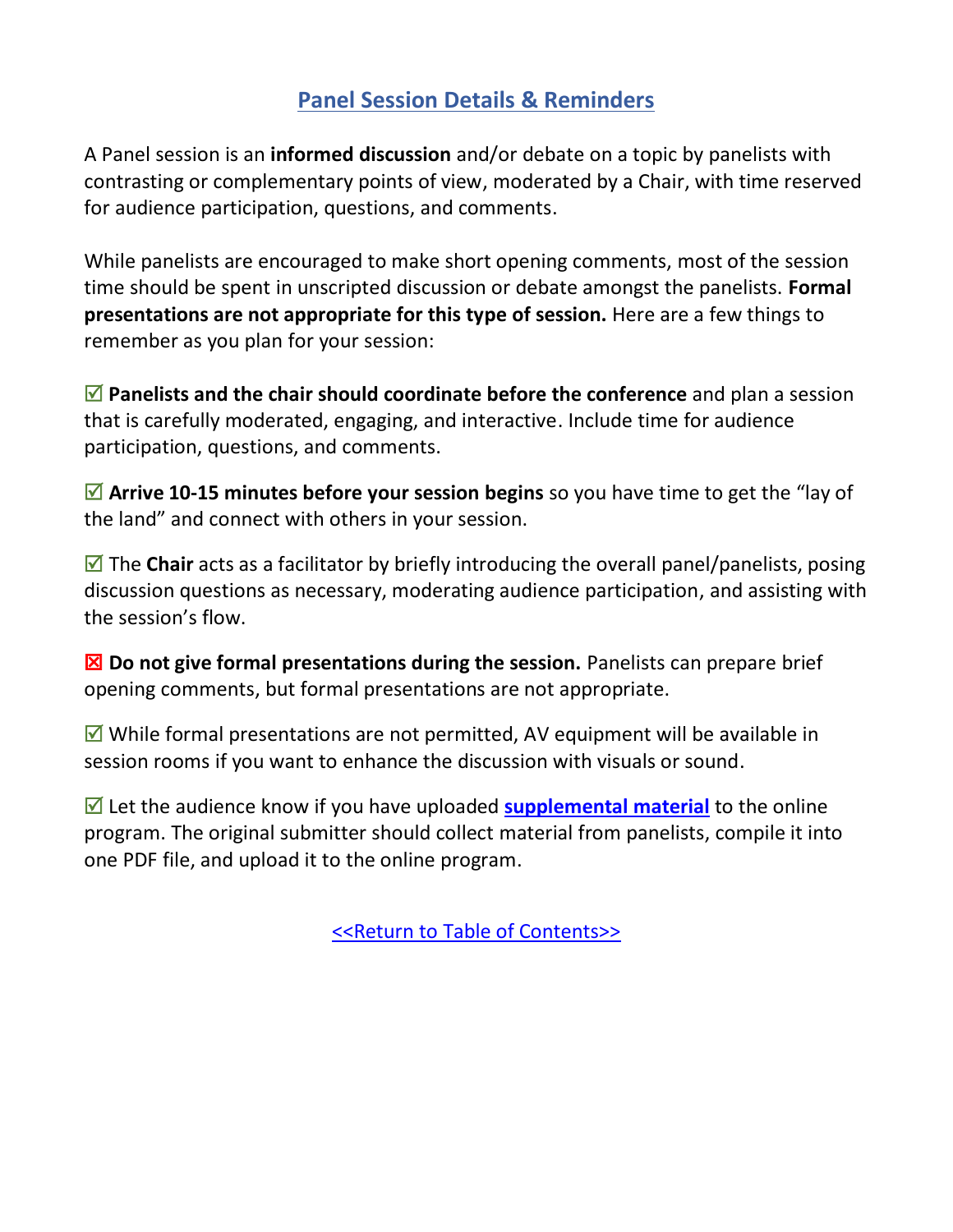### **Panel Session Details & Reminders**

<span id="page-6-0"></span>A Panel session is an **informed discussion** and/or debate on a topic by panelists with contrasting or complementary points of view, moderated by a Chair, with time reserved for audience participation, questions, and comments.

While panelists are encouraged to make short opening comments, most of the session time should be spent in unscripted discussion or debate amongst the panelists. **Formal presentations are not appropriate for this type of session.** Here are a few things to remember as you plan for your session:

 **Panelists and the chair should coordinate before the conference** and plan a session that is carefully moderated, engaging, and interactive. Include time for audience participation, questions, and comments.

■ Arrive 10-15 minutes before your session begins so you have time to get the "lay of the land" and connect with others in your session.

 $\boxed{ }$  The **Chair** acts as a facilitator by briefly introducing the overall panel/panelists, posing discussion questions as necessary, moderating audience participation, and assisting with the session's flow.

 **Do not give formal presentations during the session.** Panelists can prepare brief opening comments, but formal presentations are not appropriate.

 $\blacksquare$  While formal presentations are not permitted, AV equipment will be available in session rooms if you want to enhance the discussion with visuals or sound.

■ Let the audience know if you have uploaded **[supplemental material](#page-15-0)** to the online program. The original submitter should collect material from panelists, compile it into one PDF file, and upload it to the online program.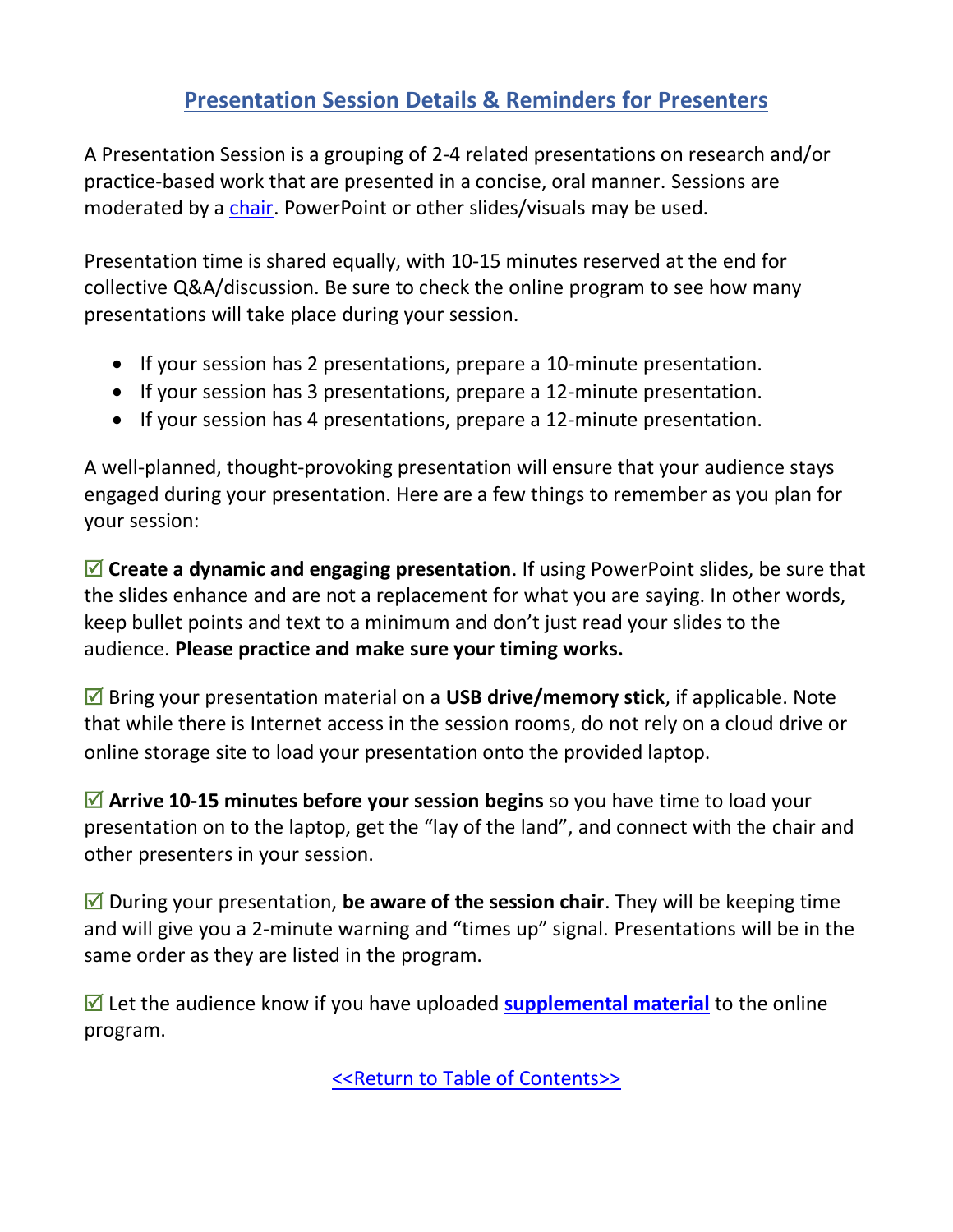### **Presentation Session Details & Reminders for Presenters**

<span id="page-7-0"></span>A Presentation Session is a grouping of 2-4 related presentations on research and/or practice-based work that are presented in a concise, oral manner. Sessions are moderated by a [chair.](#page-8-0) PowerPoint or other slides/visuals may be used.

Presentation time is shared equally, with 10-15 minutes reserved at the end for collective Q&A/discussion. Be sure to check the online program to see how many presentations will take place during your session.

- If your session has 2 presentations, prepare a 10-minute presentation.
- If your session has 3 presentations, prepare a 12-minute presentation.
- If your session has 4 presentations, prepare a 12-minute presentation.

A well-planned, thought-provoking presentation will ensure that your audience stays engaged during your presentation. Here are a few things to remember as you plan for your session:

 $\boxed{\blacksquare}$  **Create a dynamic and engaging presentation**. If using PowerPoint slides, be sure that the slides enhance and are not a replacement for what you are saying. In other words, keep bullet points and text to a minimum and don't just read your slides to the audience. **Please practice and make sure your timing works.**

 Bring your presentation material on a **USB drive/memory stick**, if applicable. Note that while there is Internet access in the session rooms, do not rely on a cloud drive or online storage site to load your presentation onto the provided laptop.

■ Arrive 10-15 minutes before your session begins so you have time to load your presentation on to the laptop, get the "lay of the land", and connect with the chair and other presenters in your session.

■ During your presentation, **be aware of the session chair**. They will be keeping time and will give you a 2-minute warning and "times up" signal. Presentations will be in the same order as they are listed in the program.

■ Let the audience know if you have uploaded **[supplemental material](#page-15-0)** to the online program.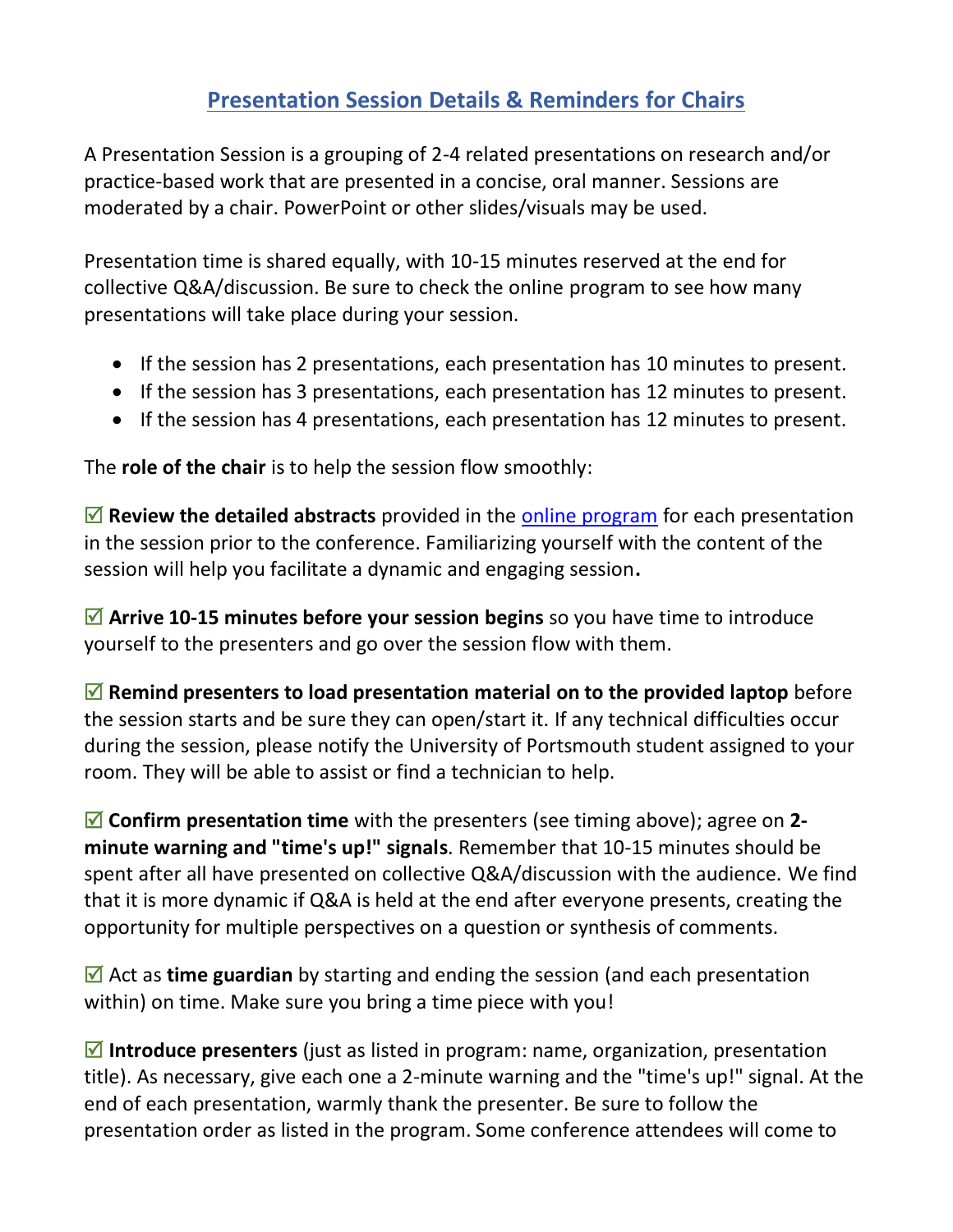### **Presentation Session Details & Reminders for Chairs**

<span id="page-8-0"></span>A Presentation Session is a grouping of 2-4 related presentations on research and/or practice-based work that are presented in a concise, oral manner. Sessions are moderated by a chair. PowerPoint or other slides/visuals may be used.

Presentation time is shared equally, with 10-15 minutes reserved at the end for collective Q&A/discussion. Be sure to check the online program to see how many presentations will take place during your session.

- If the session has 2 presentations, each presentation has 10 minutes to present.
- If the session has 3 presentations, each presentation has 12 minutes to present.
- If the session has 4 presentations, each presentation has 12 minutes to present.

The **role of the chair** is to help the session flow smoothly:

 **Review the detailed abstracts** provided in the [online program](#page-1-0) for each presentation in the session prior to the conference. Familiarizing yourself with the content of the session will help you facilitate a dynamic and engaging session**.**

 **Arrive 10-15 minutes before your session begins** so you have time to introduce yourself to the presenters and go over the session flow with them.

 $\boxed{ }$  **Remind presenters to load presentation material on to the provided laptop** before the session starts and be sure they can open/start it. If any technical difficulties occur during the session, please notify the University of Portsmouth student assigned to your room. They will be able to assist or find a technician to help.

 **Confirm presentation time** with the presenters (see timing above); agree on **2 minute warning and "time's up!" signals**. Remember that 10-15 minutes should be spent after all have presented on collective Q&A/discussion with the audience. We find that it is more dynamic if Q&A is held at the end after everyone presents, creating the opportunity for multiple perspectives on a question or synthesis of comments.

■ Act as **time guardian** by starting and ending the session (and each presentation within) on time. Make sure you bring a time piece with you!

 **Introduce presenters** (just as listed in program: name, organization, presentation title). As necessary, give each one a 2-minute warning and the "time's up!" signal. At the end of each presentation, warmly thank the presenter. Be sure to follow the presentation order as listed in the program. Some conference attendees will come to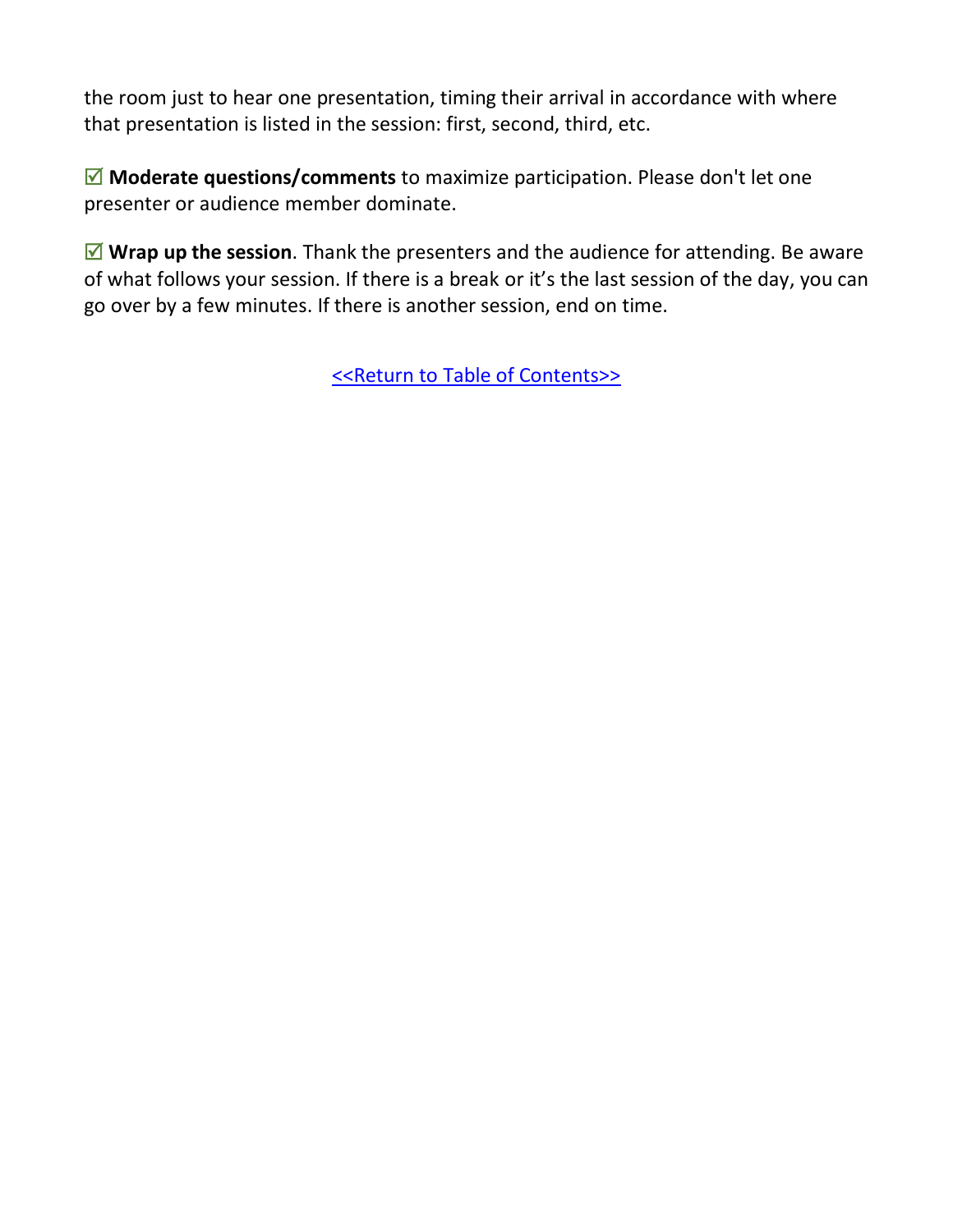the room just to hear one presentation, timing their arrival in accordance with where that presentation is listed in the session: first, second, third, etc.

■ Moderate questions/comments to maximize participation. Please don't let one presenter or audience member dominate.

 **Wrap up the session**. Thank the presenters and the audience for attending. Be aware of what follows your session. If there is a break or it's the last session of the day, you can go over by a few minutes. If there is another session, end on time.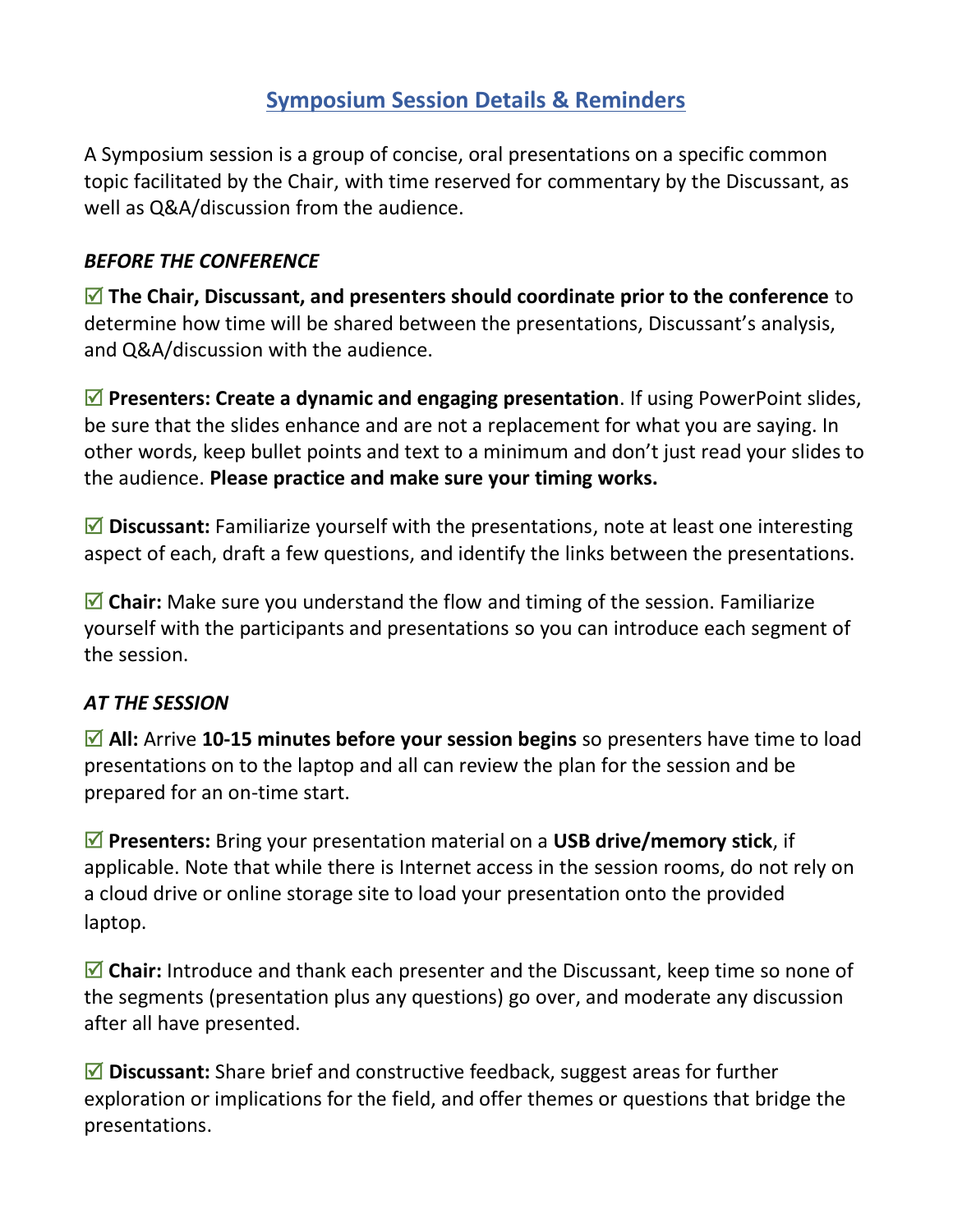### **Symposium Session Details & Reminders**

<span id="page-10-0"></span>A Symposium session is a group of concise, oral presentations on a specific common topic facilitated by the Chair, with time reserved for commentary by the Discussant, as well as Q&A/discussion from the audience.

#### *BEFORE THE CONFERENCE*

 **The Chair, Discussant, and presenters should coordinate prior to the conference** to determine how time will be shared between the presentations, Discussant's analysis, and Q&A/discussion with the audience.

 **Presenters: Create a dynamic and engaging presentation**. If using PowerPoint slides, be sure that the slides enhance and are not a replacement for what you are saying. In other words, keep bullet points and text to a minimum and don't just read your slides to the audience. **Please practice and make sure your timing works.**

■ Discussant: Familiarize yourself with the presentations, note at least one interesting aspect of each, draft a few questions, and identify the links between the presentations.

■ Chair: Make sure you understand the flow and timing of the session. Familiarize yourself with the participants and presentations so you can introduce each segment of the session.

#### *AT THE SESSION*

■ All: Arrive 10-15 minutes before your session begins so presenters have time to load presentations on to the laptop and all can review the plan for the session and be prepared for an on-time start.

 **Presenters:** Bring your presentation material on a **USB drive/memory stick**, if applicable. Note that while there is Internet access in the session rooms, do not rely on a cloud drive or online storage site to load your presentation onto the provided laptop.

 $\blacksquare$  **Chair:** Introduce and thank each presenter and the Discussant, keep time so none of the segments (presentation plus any questions) go over, and moderate any discussion after all have presented.

■ Discussant: Share brief and constructive feedback, suggest areas for further exploration or implications for the field, and offer themes or questions that bridge the presentations.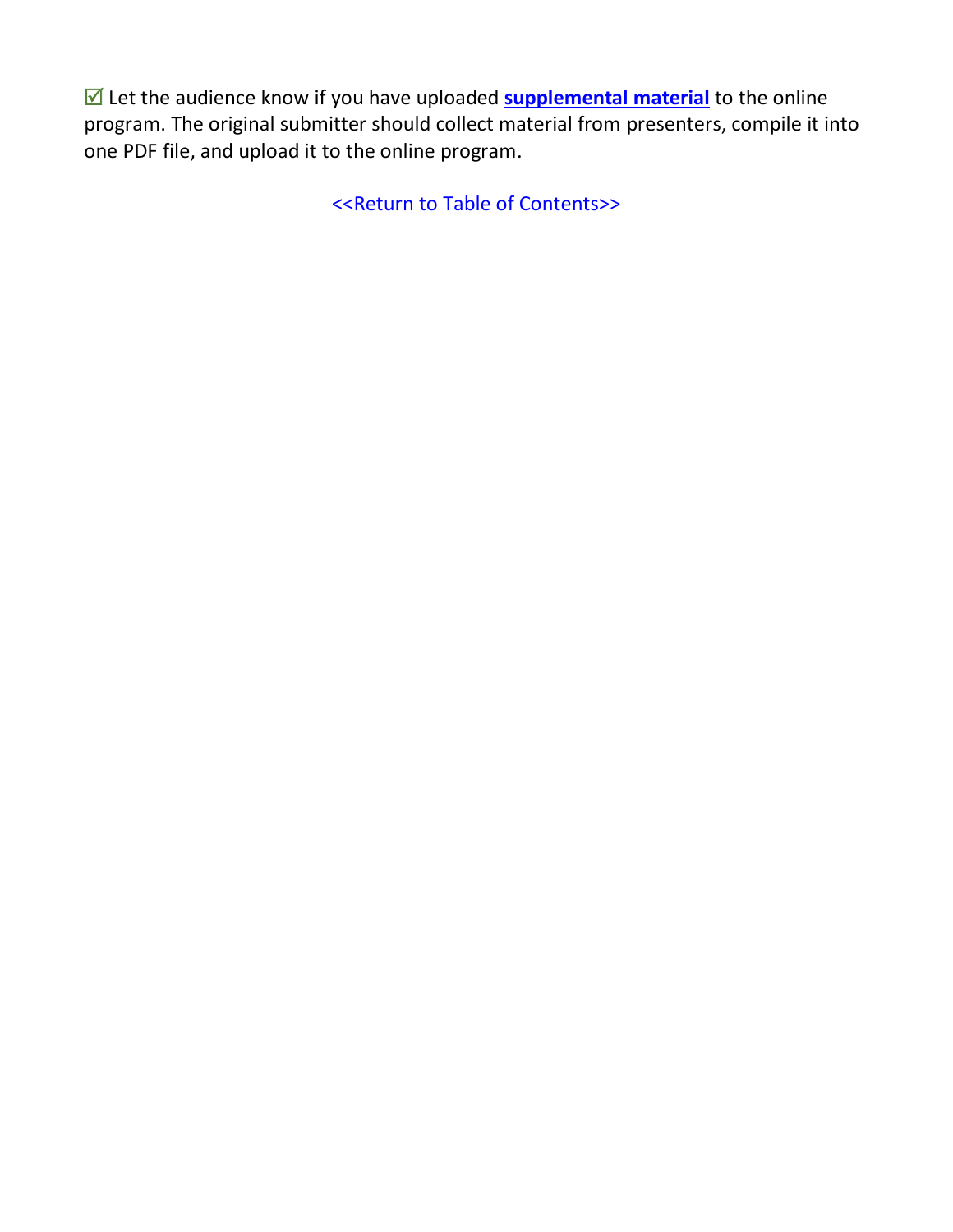■ Let the audience know if you have uploaded **[supplemental material](#page-15-0)** to the online program. The original submitter should collect material from presenters, compile it into one PDF file, and upload it to the online program.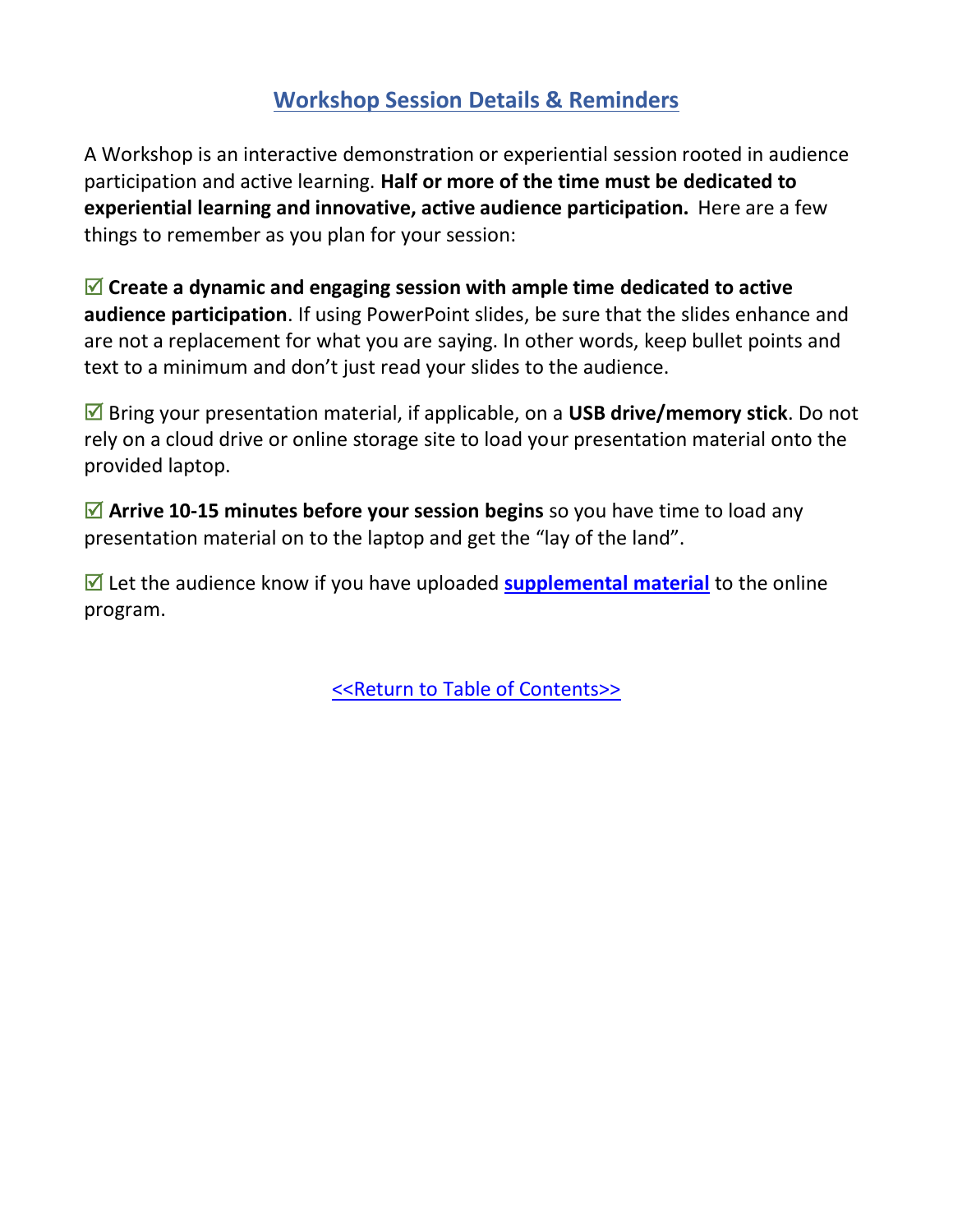### **Workshop Session Details & Reminders**

<span id="page-12-0"></span>A Workshop is an interactive demonstration or experiential session rooted in audience participation and active learning. **Half or more of the time must be dedicated to experiential learning and innovative, active audience participation.** Here are a few things to remember as you plan for your session:

 **Create a dynamic and engaging session with ample time dedicated to active audience participation**. If using PowerPoint slides, be sure that the slides enhance and are not a replacement for what you are saying. In other words, keep bullet points and text to a minimum and don't just read your slides to the audience.

 Bring your presentation material, if applicable, on a **USB drive/memory stick**. Do not rely on a cloud drive or online storage site to load your presentation material onto the provided laptop.

■ Arrive 10-15 minutes before your session begins so you have time to load any presentation material on to the laptop and get the "lay of the land".

■ Let the audience know if you have uploaded **[supplemental material](#page-15-0)** to the online program.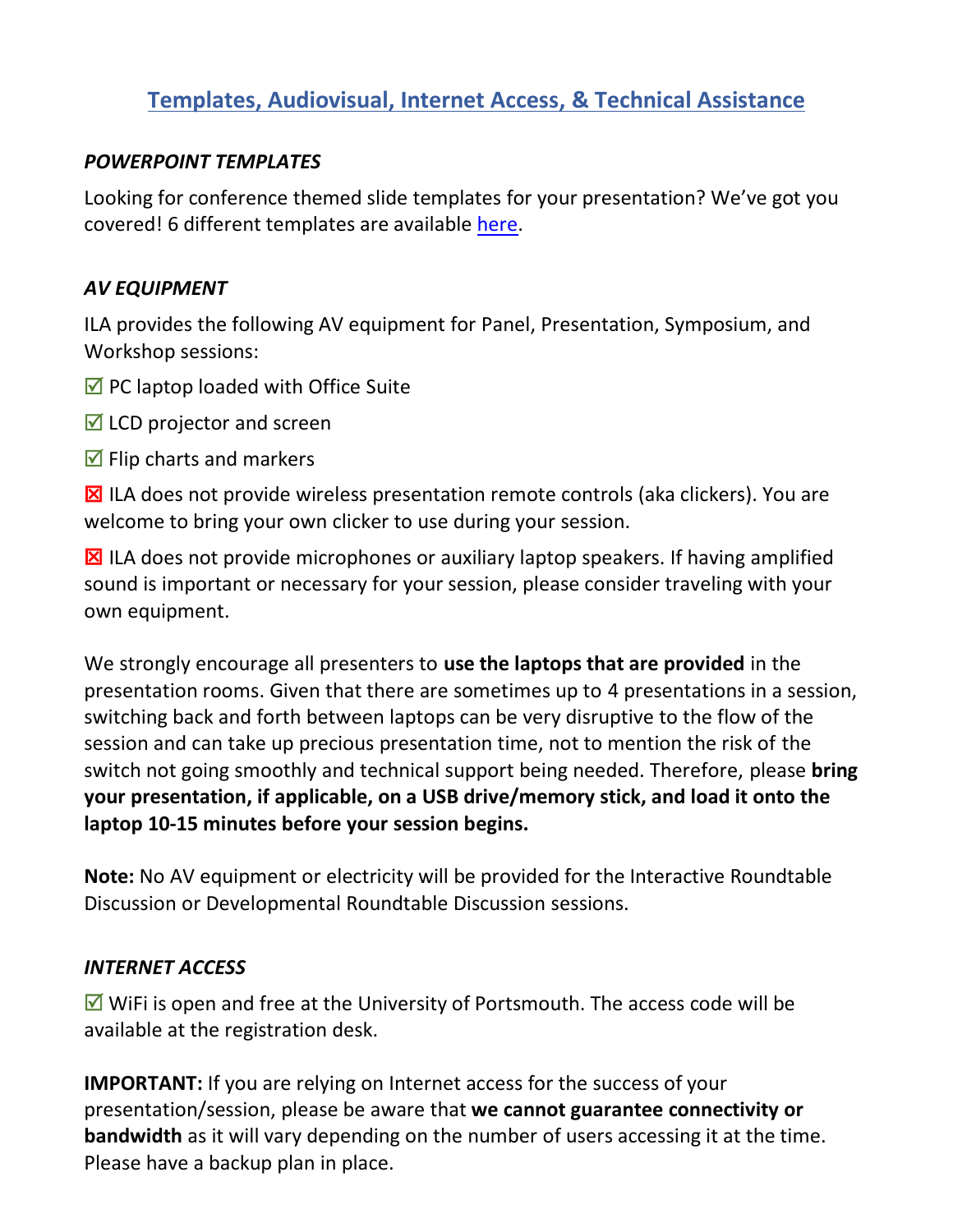### <span id="page-13-0"></span>**Templates, Audiovisual, Internet Access, & Technical Assistance**

#### *POWERPOINT TEMPLATES*

Looking for conference themed slide templates for your presentation? We've got you covered! 6 different templates are available [here.](https://docs.google.com/presentation/d/1k9nQ6EplAMG4h7xG741ZpVP3_16j2mDn/edit?usp=sharing&ouid=105380086823706280915&rtpof=true&sd=true)

#### *AV EQUIPMENT*

ILA provides the following AV equipment for Panel, Presentation, Symposium, and Workshop sessions:

- $\triangledown$  PC laptop loaded with Office Suite
- $\blacksquare$  LCD projector and screen
- $\triangledown$  Flip charts and markers

 $\boxtimes$  ILA does not provide wireless presentation remote controls (aka clickers). You are welcome to bring your own clicker to use during your session.

 $\boxtimes$  ILA does not provide microphones or auxiliary laptop speakers. If having amplified sound is important or necessary for your session, please consider traveling with your own equipment.

We strongly encourage all presenters to **use the laptops that are provided** in the presentation rooms. Given that there are sometimes up to 4 presentations in a session, switching back and forth between laptops can be very disruptive to the flow of the session and can take up precious presentation time, not to mention the risk of the switch not going smoothly and technical support being needed. Therefore, please **bring your presentation, if applicable, on a USB drive/memory stick, and load it onto the laptop 10-15 minutes before your session begins.** 

**Note:** No AV equipment or electricity will be provided for the Interactive Roundtable Discussion or Developmental Roundtable Discussion sessions.

#### *INTERNET ACCESS*

 $\triangledown$  WiFi is open and free at the University of Portsmouth. The access code will be available at the registration desk.

**IMPORTANT:** If you are relying on Internet access for the success of your presentation/session, please be aware that **we cannot guarantee connectivity or bandwidth** as it will vary depending on the number of users accessing it at the time. Please have a backup plan in place.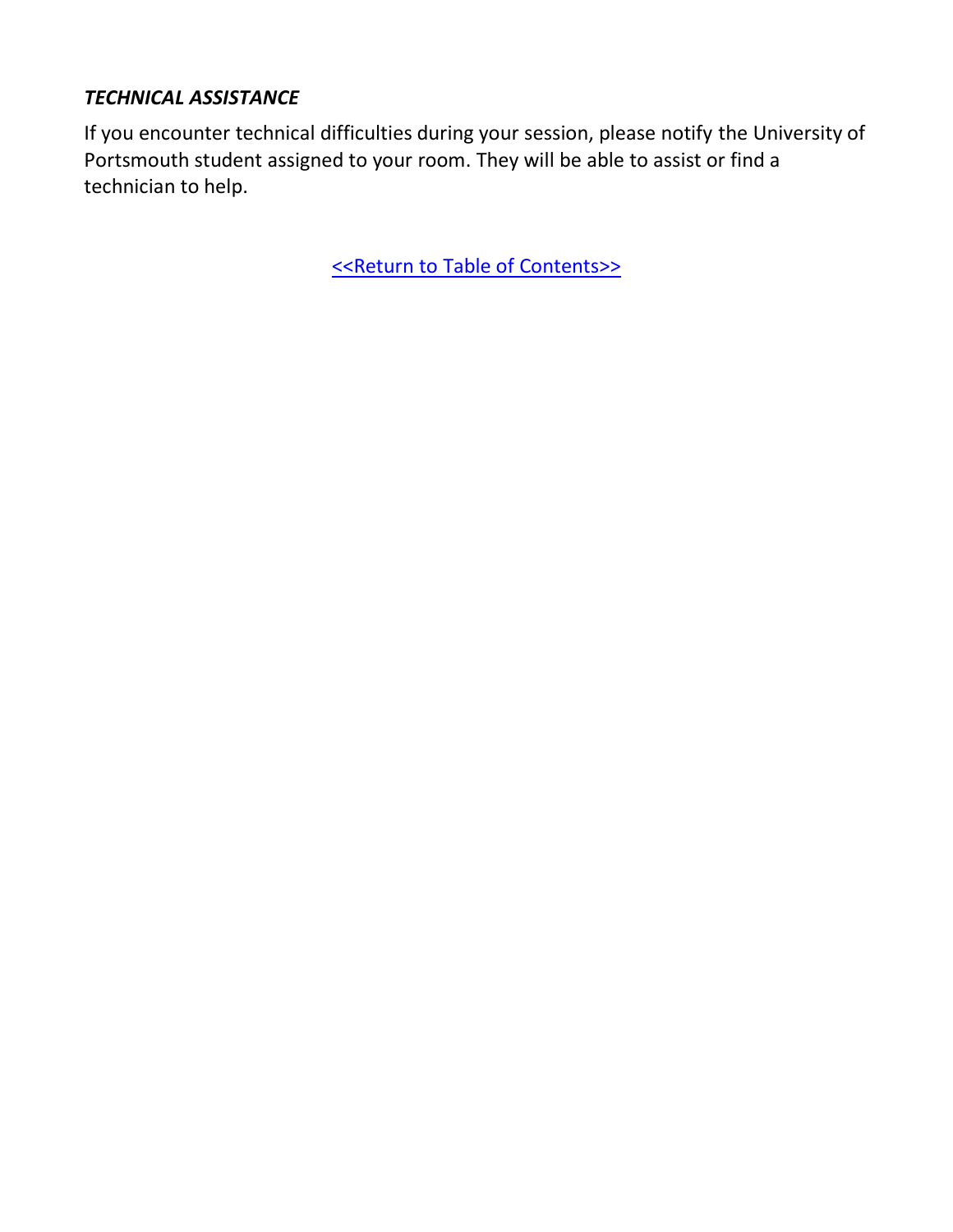#### *TECHNICAL ASSISTANCE*

If you encounter technical difficulties during your session, please notify the University of Portsmouth student assigned to your room. They will be able to assist or find a technician to help.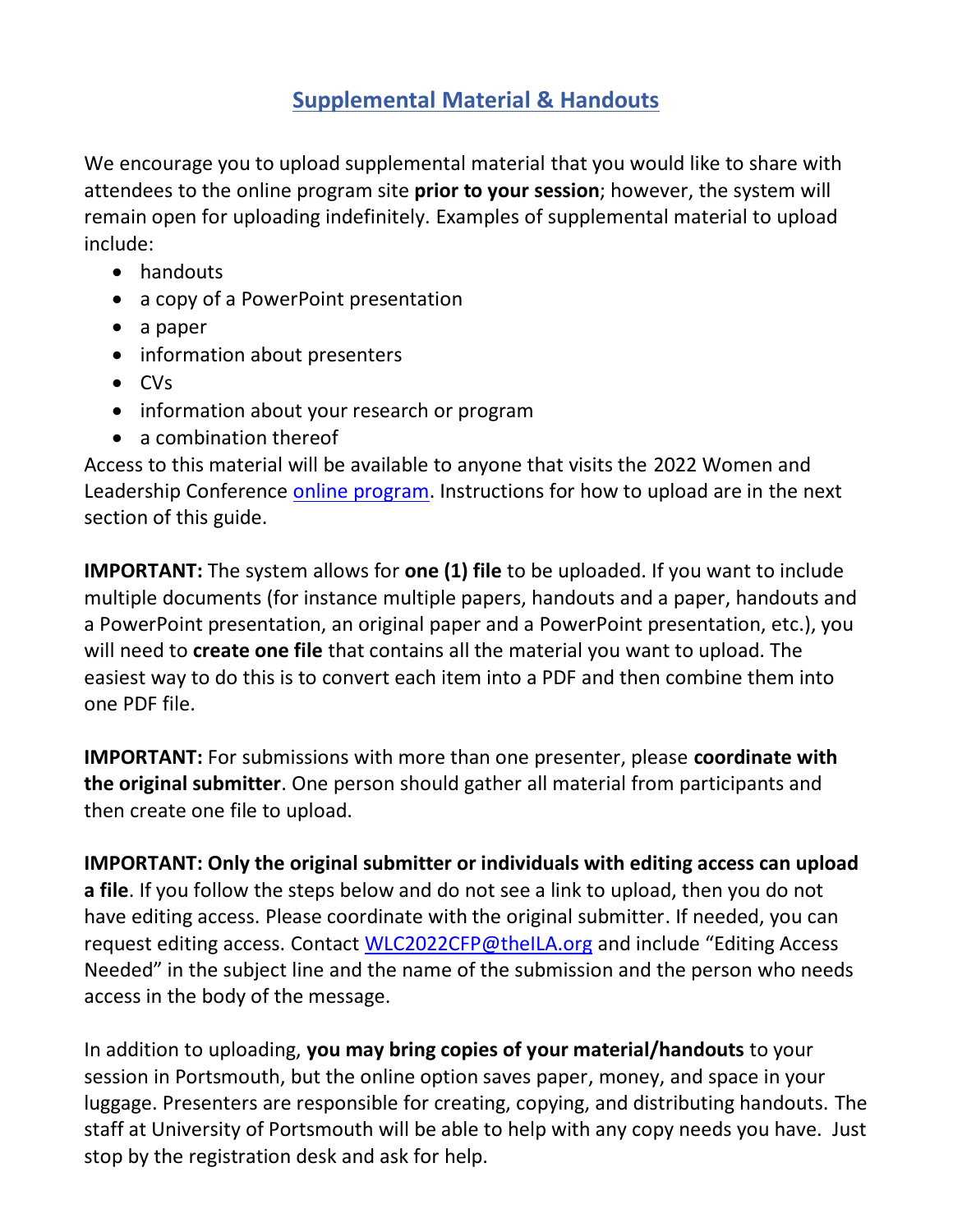### **Supplemental Material & Handouts**

<span id="page-15-0"></span>We encourage you to upload supplemental material that you would like to share with attendees to the online program site **prior to your session**; however, the system will remain open for uploading indefinitely. Examples of supplemental material to upload include:

- handouts
- a copy of a PowerPoint presentation
- a paper
- information about presenters
- CVs
- information about your research or program
- a combination thereof

Access to this material will be available to anyone that visits the 2022 Women and Leadership Conference [online program.](http://convention2.allacademic.com/one/ila/wlc22/) Instructions for how to upload are in the next section of this guide.

**IMPORTANT:** The system allows for **one (1) file** to be uploaded. If you want to include multiple documents (for instance multiple papers, handouts and a paper, handouts and a PowerPoint presentation, an original paper and a PowerPoint presentation, etc.), you will need to **create one file** that contains all the material you want to upload. The easiest way to do this is to convert each item into a PDF and then combine them into one PDF file.

**IMPORTANT:** For submissions with more than one presenter, please **coordinate with the original submitter**. One person should gather all material from participants and then create one file to upload.

**IMPORTANT: Only the original submitter or individuals with editing access can upload a file**. If you follow the steps below and do not see a link to upload, then you do not have editing access. Please coordinate with the original submitter. If needed, you can request editing access. Contact [WLC2022CFP@theILA.org](mailto:WLC2022CFP@theILA.org?subject=Editing%20Access%20Needed) and include "Editing Access Needed" in the subject line and the name of the submission and the person who needs access in the body of the message.

In addition to uploading, **you may bring copies of your material/handouts** to your session in Portsmouth, but the online option saves paper, money, and space in your luggage. Presenters are responsible for creating, copying, and distributing handouts. The staff at University of Portsmouth will be able to help with any copy needs you have. Just stop by the registration desk and ask for help.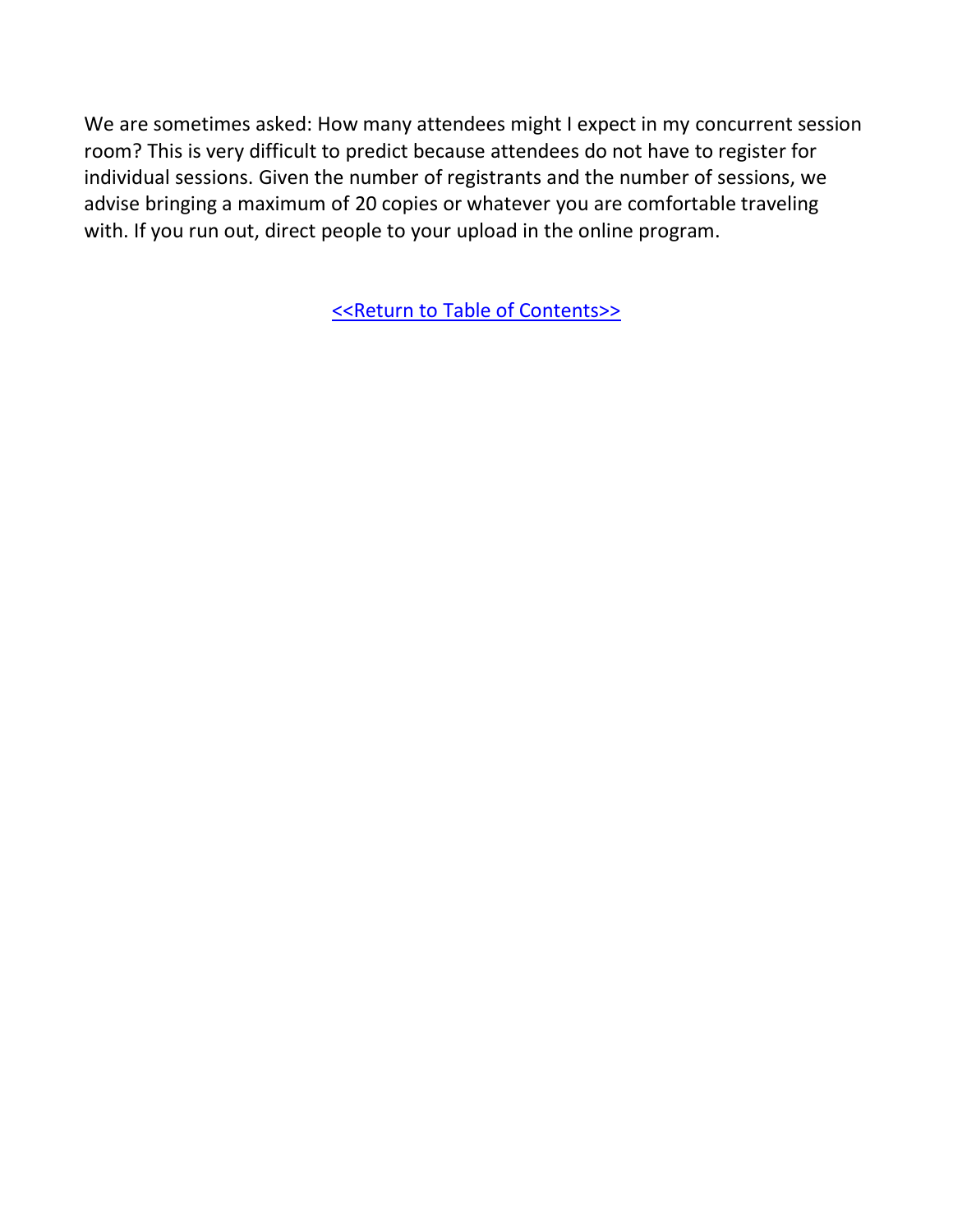We are sometimes asked: How many attendees might I expect in my concurrent session room? This is very difficult to predict because attendees do not have to register for individual sessions. Given the number of registrants and the number of sessions, we advise bringing a maximum of 20 copies or whatever you are comfortable traveling with. If you run out, direct people to your upload in the online program.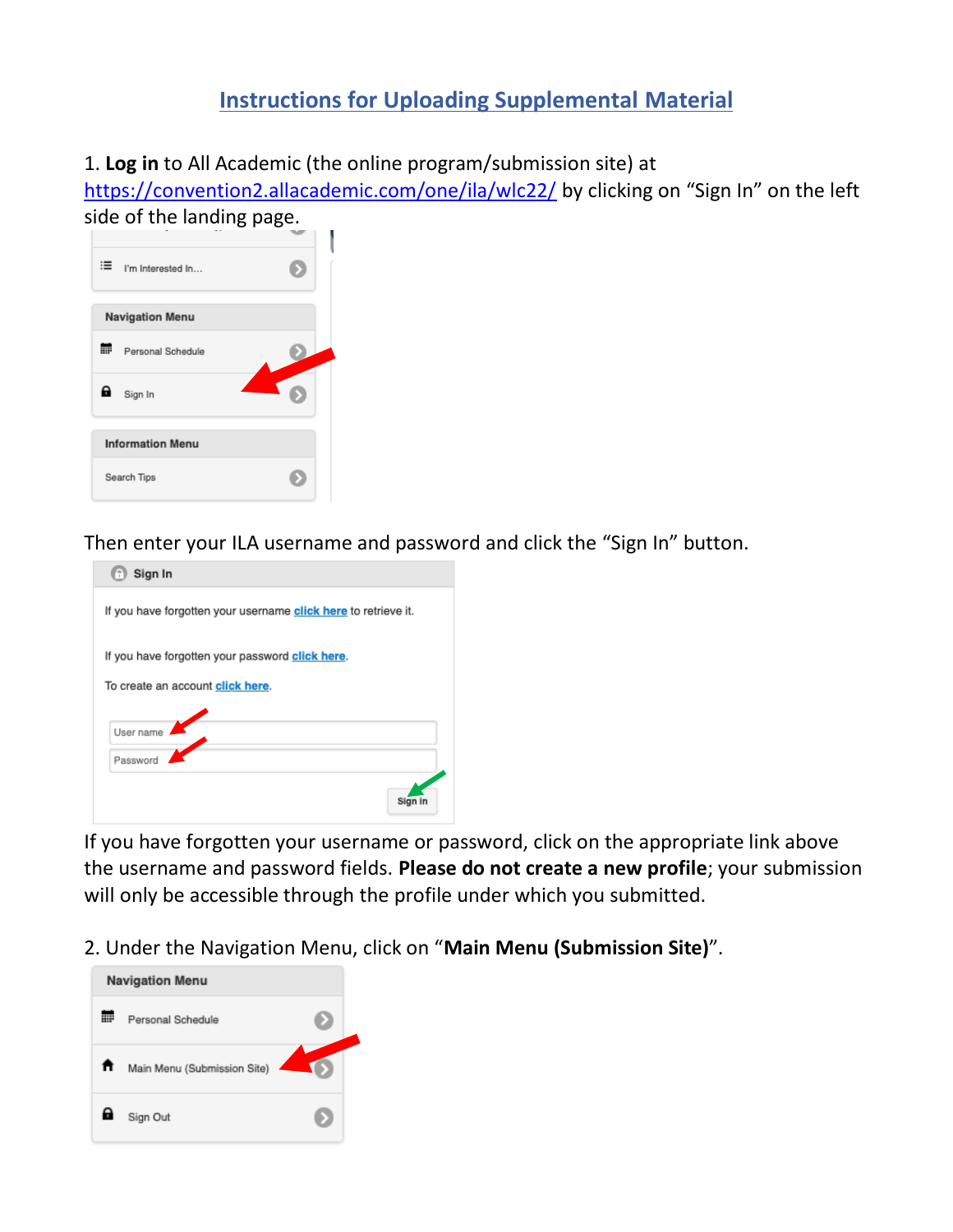#### **Instructions for Uploading Supplemental Material**

<span id="page-17-0"></span>1. **Log in** to All Academic (the online program/submission site) at

<https://convention2.allacademic.com/one/ila/wlc22/> by clicking on "Sign In" on the left side of the landing page.

| : im Interested In      |  |
|-------------------------|--|
| <b>Navigation Menu</b>  |  |
| 噩<br>Personal Schedule  |  |
| Q<br>Sign In            |  |
| <b>Information Menu</b> |  |
| Search Tips             |  |

Then enter your ILA username and password and click the "Sign In" button.

| Sign In                                                                             |
|-------------------------------------------------------------------------------------|
| If you have forgotten your username click here to retrieve it.                      |
| If you have forgotten your password click here.<br>To create an account click here. |
| User name                                                                           |
| Password                                                                            |
| Sign                                                                                |

If you have forgotten your username or password, click on the appropriate link above the username and password fields. **Please do not create a new profile**; your submission will only be accessible through the profile under which you submitted.

2. Under the Navigation Menu, click on "**Main Menu (Submission Site)**".

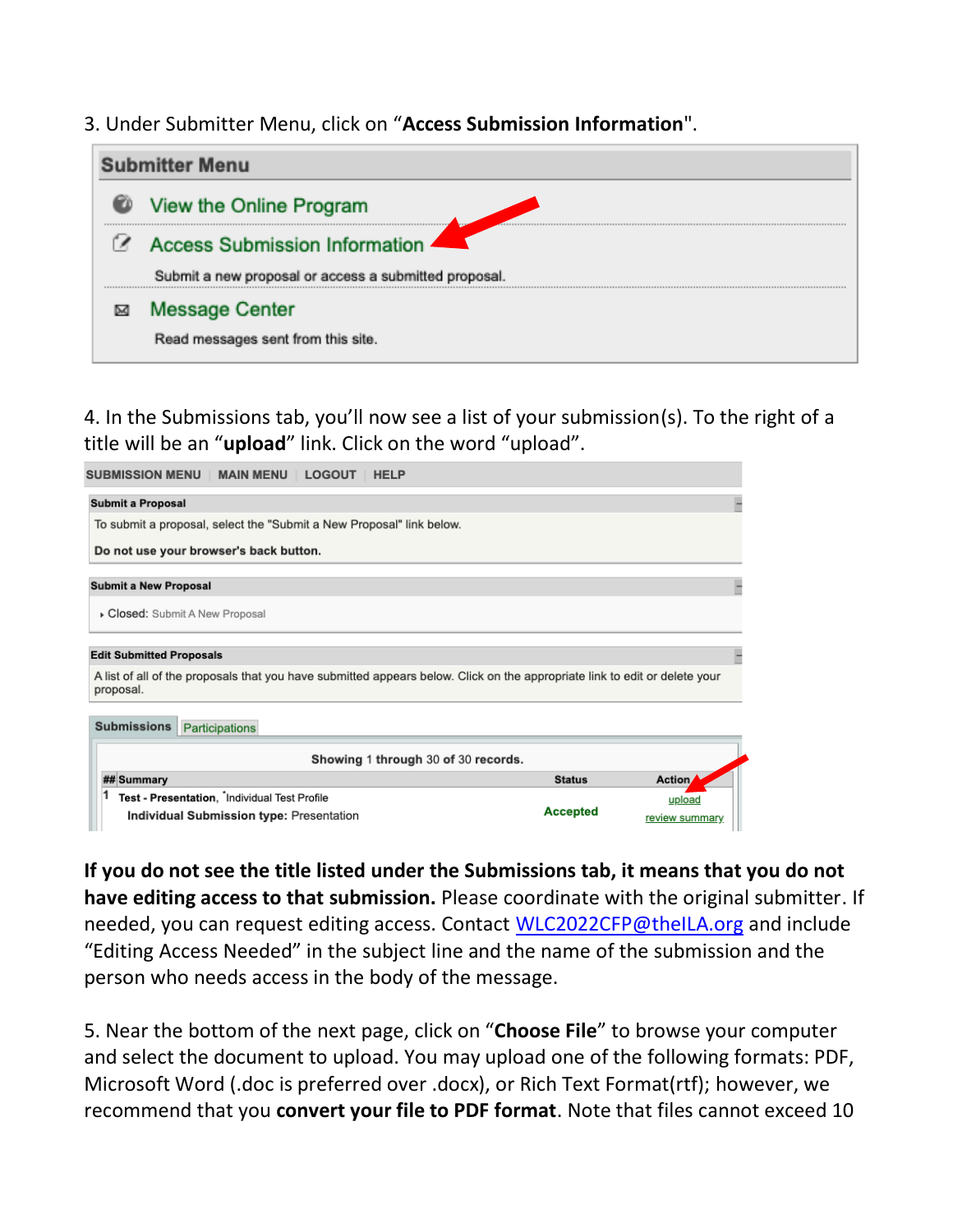3. Under Submitter Menu, click on "**Access Submission Information**".

| <b>Submitter Menu</b>                                 |
|-------------------------------------------------------|
| View the Online Program                               |
| <b>Access Submission Information</b>                  |
| Submit a new proposal or access a submitted proposal. |
| <b>Message Center</b>                                 |
| Read messages sent from this site.                    |

4. In the Submissions tab, you'll now see a list of your submission(s). To the right of a title will be an "**upload**" link. Click on the word "upload".

| <b>MAIN MENU</b><br><b>SUBMISSION MENU</b><br>LOGOUT<br><b>HELP</b>                                                                     |                 |                |
|-----------------------------------------------------------------------------------------------------------------------------------------|-----------------|----------------|
| <b>Submit a Proposal</b>                                                                                                                |                 |                |
| To submit a proposal, select the "Submit a New Proposal" link below.                                                                    |                 |                |
| Do not use your browser's back button.                                                                                                  |                 |                |
| <b>Submit a New Proposal</b>                                                                                                            |                 |                |
| Closed: Submit A New Proposal                                                                                                           |                 |                |
| <b>Edit Submitted Proposals</b>                                                                                                         |                 |                |
| A list of all of the proposals that you have submitted appears below. Click on the appropriate link to edit or delete your<br>proposal. |                 |                |
| <b>Submissions</b><br><b>Participations</b>                                                                                             |                 |                |
| Showing 1 through 30 of 30 records.                                                                                                     |                 |                |
| ## Summary                                                                                                                              | <b>Status</b>   | Action         |
| 1<br>Test - Presentation, <sup>*</sup> Individual Test Profile                                                                          |                 | upload         |
| Individual Submission type: Presentation                                                                                                | <b>Accepted</b> | review summary |

**If you do not see the title listed under the Submissions tab, it means that you do not have editing access to that submission.** Please coordinate with the original submitter. If needed, you can request editing access. Contact [WLC2022CFP@theILA.org](mailto:WLC2022CFP@theILA.org?subject=Editing%20Access%20Needed) and include "Editing Access Needed" in the subject line and the name of the submission and the person who needs access in the body of the message.

5. Near the bottom of the next page, click on "**Choose File**" to browse your computer and select the document to upload. You may upload one of the following formats: PDF, Microsoft Word (.doc is preferred over .docx), or Rich Text Format(rtf); however, we recommend that you **convert your file to PDF format**. Note that files cannot exceed 10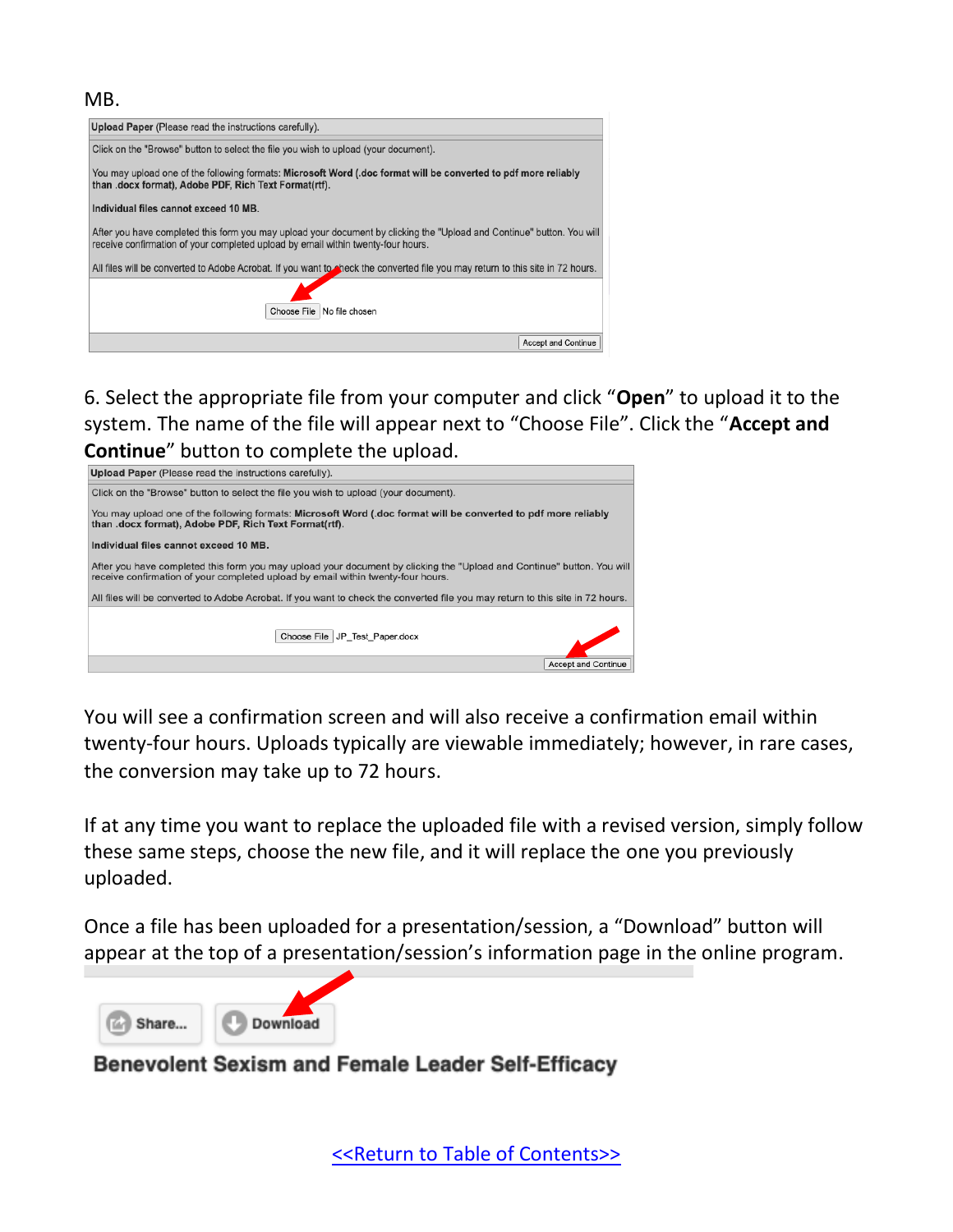#### MB.



6. Select the appropriate file from your computer and click "**Open**" to upload it to the system. The name of the file will appear next to "Choose File". Click the "**Accept and Continue**" button to complete the upload.



You will see a confirmation screen and will also receive a confirmation email within twenty-four hours. Uploads typically are viewable immediately; however, in rare cases, the conversion may take up to 72 hours.

If at any time you want to replace the uploaded file with a revised version, simply follow these same steps, choose the new file, and it will replace the one you previously uploaded.

Once a file has been uploaded for a presentation/session, a "Download" button will appear at the top of a presentation/session's information page in the online program.





#### Benevolent Sexism and Female Leader Self-Efficacy